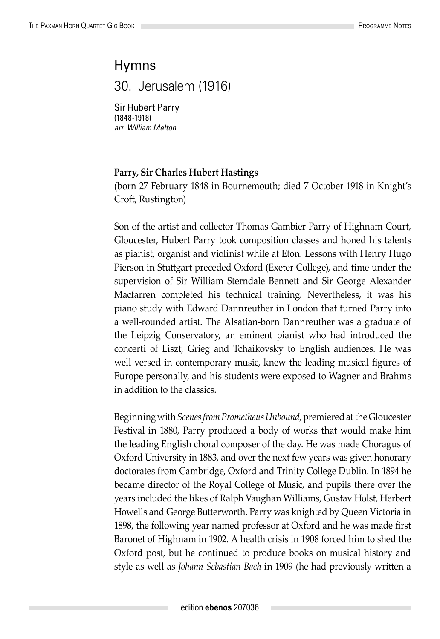## Hymns

30. Jerusalem (1916)

Sir Hubert Parry (1848-1918) *arr. William Melton*

## **Parry, Sir Charles Hubert Hastings**

(born 27 February 1848 in Bournemouth; died 7 October 1918 in Knight's Croft, Rustington)

Son of the artist and collector Thomas Gambier Parry of Highnam Court, Gloucester, Hubert Parry took composition classes and honed his talents as pianist, organist and violinist while at Eton. Lessons with Henry Hugo Pierson in Stuttgart preceded Oxford (Exeter College), and time under the supervision of Sir William Sterndale Bennett and Sir George Alexander Macfarren completed his technical training. Nevertheless, it was his piano study with Edward Dannreuther in London that turned Parry into a well-rounded artist. The Alsatian-born Dannreuther was a graduate of the Leipzig Conservatory, an eminent pianist who had introduced the concerti of Liszt, Grieg and Tchaikovsky to English audiences. He was well versed in contemporary music, knew the leading musical figures of Europe personally, and his students were exposed to Wagner and Brahms in addition to the classics.

Beginning with *Scenes from Prometheus Unbound*, premiered at the Gloucester Festival in 1880, Parry produced a body of works that would make him the leading English choral composer of the day. He was made Choragus of Oxford University in 1883, and over the next few years was given honorary doctorates from Cambridge, Oxford and Trinity College Dublin. In 1894 he became director of the Royal College of Music, and pupils there over the years included the likes of Ralph Vaughan Williams, Gustav Holst, Herbert Howells and George Butterworth. Parry was knighted by Queen Victoria in 1898, the following year named professor at Oxford and he was made first Baronet of Highnam in 1902. A health crisis in 1908 forced him to shed the Oxford post, but he continued to produce books on musical history and style as well as *Johann Sebastian Bach* in 1909 (he had previously written a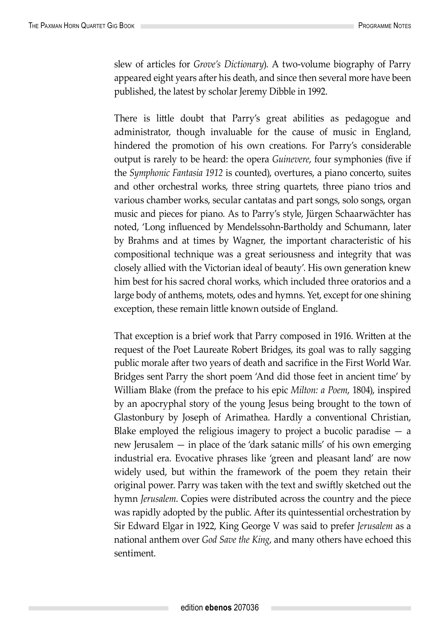slew of articles for *Grove's Dictionary*). A two-volume biography of Parry appeared eight years after his death, and since then several more have been published, the latest by scholar Jeremy Dibble in 1992.

There is little doubt that Parry's great abilities as pedagogue and administrator, though invaluable for the cause of music in England, hindered the promotion of his own creations. For Parry's considerable output is rarely to be heard: the opera *Guinevere*, four symphonies (five if the *Symphonic Fantasia 1912* is counted), overtures, a piano concerto, suites and other orchestral works, three string quartets, three piano trios and various chamber works, secular cantatas and part songs, solo songs, organ music and pieces for piano. As to Parry's style, Jürgen Schaarwächter has noted, 'Long influenced by Mendelssohn-Bartholdy and Schumann, later by Brahms and at times by Wagner, the important characteristic of his compositional technique was a great seriousness and integrity that was closely allied with the Victorian ideal of beauty'. His own generation knew him best for his sacred choral works, which included three oratorios and a large body of anthems, motets, odes and hymns. Yet, except for one shining exception, these remain little known outside of England.

That exception is a brief work that Parry composed in 1916. Written at the request of the Poet Laureate Robert Bridges, its goal was to rally sagging public morale after two years of death and sacrifice in the First World War. Bridges sent Parry the short poem 'And did those feet in ancient time' by William Blake (from the preface to his epic *Milton: a Poem*, 1804), inspired by an apocryphal story of the young Jesus being brought to the town of Glastonbury by Joseph of Arimathea. Hardly a conventional Christian, Blake employed the religious imagery to project a bucolic paradise — a new Jerusalem — in place of the 'dark satanic mills' of his own emerging industrial era. Evocative phrases like 'green and pleasant land' are now widely used, but within the framework of the poem they retain their original power. Parry was taken with the text and swiftly sketched out the hymn *Jerusalem*. Copies were distributed across the country and the piece was rapidly adopted by the public. After its quintessential orchestration by Sir Edward Elgar in 1922, King George V was said to prefer *Jerusalem* as a national anthem over *God Save the King*, and many others have echoed this sentiment.